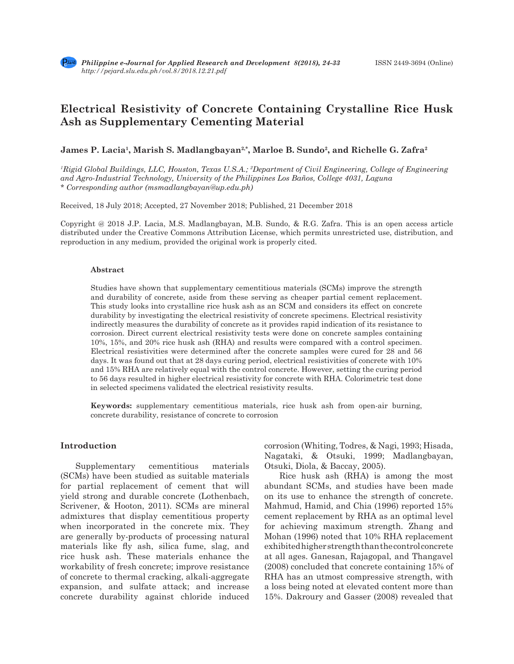# **Electrical Resistivity of Concrete Containing Crystalline Rice Husk Ash as Supplementary Cementing Material**

## **James P. Lacia1, Marish S. Madlangbayan2,\*, Marloe B. Sundo2, and Richelle G. Zafra2**

*<sup>1</sup>Rigid Global Buildings, LLC, Houston, Texas U.S.A.; <sup>2</sup>Department of Civil Engineering, College of Engineering and Agro-Industrial Technology, University of the Philippines Los Baños, College 4031, Laguna \* Corresponding author (msmadlangbayan@up.edu.ph)*

Received, 18 July 2018; Accepted, 27 November 2018; Published, 21 December 2018

Copyright @ 2018 J.P. Lacia, M.S. Madlangbayan, M.B. Sundo, & R.G. Zafra. This is an open access article distributed under the Creative Commons Attribution License, which permits unrestricted use, distribution, and reproduction in any medium, provided the original work is properly cited.

## **Abstract**

Studies have shown that supplementary cementitious materials (SCMs) improve the strength and durability of concrete, aside from these serving as cheaper partial cement replacement. This study looks into crystalline rice husk ash as an SCM and considers its effect on concrete durability by investigating the electrical resistivity of concrete specimens. Electrical resistivity indirectly measures the durability of concrete as it provides rapid indication of its resistance to corrosion. Direct current electrical resistivity tests were done on concrete samples containing 10%, 15%, and 20% rice husk ash (RHA) and results were compared with a control specimen. Electrical resistivities were determined after the concrete samples were cured for 28 and 56 days. It was found out that at 28 days curing period, electrical resistivities of concrete with 10% and 15% RHA are relatively equal with the control concrete. However, setting the curing period to 56 days resulted in higher electrical resistivity for concrete with RHA. Colorimetric test done in selected specimens validated the electrical resistivity results.

**Keywords:** supplementary cementitious materials, rice husk ash from open-air burning, concrete durability, resistance of concrete to corrosion

## **Introduction**

Supplementary cementitious materials (SCMs) have been studied as suitable materials for partial replacement of cement that will yield strong and durable concrete (Lothenbach, Scrivener, & Hooton, 2011). SCMs are mineral admixtures that display cementitious property when incorporated in the concrete mix. They are generally by-products of processing natural materials like fly ash, silica fume, slag, and rice husk ash. These materials enhance the workability of fresh concrete; improve resistance of concrete to thermal cracking, alkali-aggregate expansion, and sulfate attack; and increase concrete durability against chloride induced corrosion (Whiting, Todres, & Nagi, 1993; Hisada, Nagataki, & Otsuki, 1999; Madlangbayan, Otsuki, Diola, & Baccay, 2005).

Rice husk ash (RHA) is among the most abundant SCMs, and studies have been made on its use to enhance the strength of concrete. Mahmud, Hamid, and Chia (1996) reported 15% cement replacement by RHA as an optimal level for achieving maximum strength. Zhang and Mohan (1996) noted that 10% RHA replacement exhibited higher strength than the control concrete at all ages. Ganesan, Rajagopal, and Thangavel (2008) concluded that concrete containing 15% of RHA has an utmost compressive strength, with a loss being noted at elevated content more than 15%. Dakroury and Gasser (2008) revealed that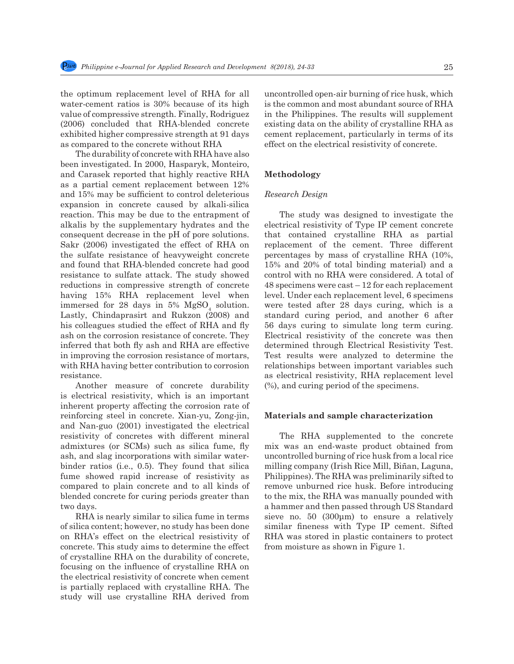the optimum replacement level of RHA for all water-cement ratios is 30% because of its high value of compressive strength. Finally, Rodriguez (2006) concluded that RHA-blended concrete exhibited higher compressive strength at 91 days as compared to the concrete without RHA

The durability of concrete with RHA have also been investigated. In 2000, Hasparyk, Monteiro, and Carasek reported that highly reactive RHA as a partial cement replacement between 12% and 15% may be sufficient to control deleterious expansion in concrete caused by alkali-silica reaction. This may be due to the entrapment of alkalis by the supplementary hydrates and the consequent decrease in the pH of pore solutions. Sakr (2006) investigated the effect of RHA on the sulfate resistance of heavyweight concrete and found that RHA-blended concrete had good resistance to sulfate attack. The study showed reductions in compressive strength of concrete having 15% RHA replacement level when immersed for 28 days in 5%  $MgSO<sub>4</sub>$  solution. Lastly, Chindaprasirt and Rukzon (2008) and his colleagues studied the effect of RHA and fly ash on the corrosion resistance of concrete. They inferred that both fly ash and RHA are effective in improving the corrosion resistance of mortars, with RHA having better contribution to corrosion resistance.

Another measure of concrete durability is electrical resistivity, which is an important inherent property affecting the corrosion rate of reinforcing steel in concrete. Xian-yu, Zong-jin, and Nan-guo (2001) investigated the electrical resistivity of concretes with different mineral admixtures (or SCMs) such as silica fume, fly ash, and slag incorporations with similar waterbinder ratios (i.e., 0.5). They found that silica fume showed rapid increase of resistivity as compared to plain concrete and to all kinds of blended concrete for curing periods greater than two days.

RHA is nearly similar to silica fume in terms of silica content; however, no study has been done on RHA's effect on the electrical resistivity of concrete. This study aims to determine the effect of crystalline RHA on the durability of concrete, focusing on the influence of crystalline RHA on the electrical resistivity of concrete when cement is partially replaced with crystalline RHA. The study will use crystalline RHA derived from uncontrolled open-air burning of rice husk, which is the common and most abundant source of RHA in the Philippines. The results will supplement existing data on the ability of crystalline RHA as cement replacement, particularly in terms of its effect on the electrical resistivity of concrete.

## **Methodology**

#### *Research Design*

The study was designed to investigate the electrical resistivity of Type IP cement concrete that contained crystalline RHA as partial replacement of the cement. Three different percentages by mass of crystalline RHA (10%, 15% and 20% of total binding material) and a control with no RHA were considered. A total of 48 specimens were cast – 12 for each replacement level. Under each replacement level, 6 specimens were tested after 28 days curing, which is a standard curing period, and another 6 after 56 days curing to simulate long term curing. Electrical resistivity of the concrete was then determined through Electrical Resistivity Test. Test results were analyzed to determine the relationships between important variables such as electrical resistivity, RHA replacement level (%), and curing period of the specimens.

#### **Materials and sample characterization**

The RHA supplemented to the concrete mix was an end-waste product obtained from uncontrolled burning of rice husk from a local rice milling company (Irish Rice Mill, Biñan, Laguna, Philippines). The RHA was preliminarily sifted to remove unburned rice husk. Before introducing to the mix, the RHA was manually pounded with a hammer and then passed through US Standard sieve no. 50 (300μm) to ensure a relatively similar fineness with Type IP cement. Sifted RHA was stored in plastic containers to protect from moisture as shown in Figure 1.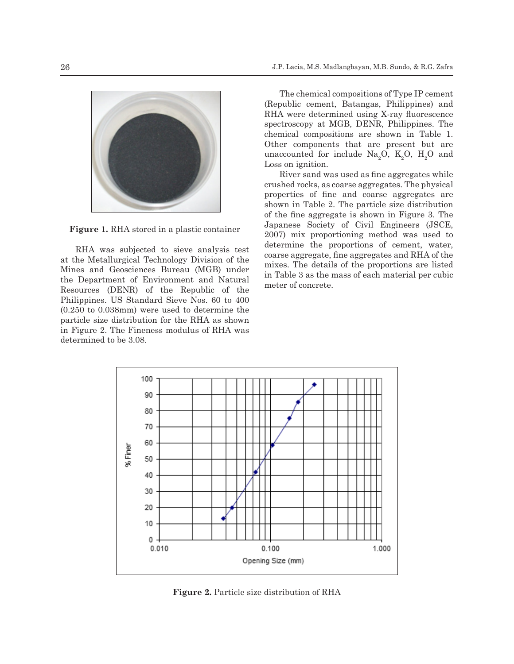

**Figure 1.** RHA stored in a plastic container

RHA was subjected to sieve analysis test at the Metallurgical Technology Division of the Mines and Geosciences Bureau (MGB) under the Department of Environment and Natural Resources (DENR) of the Republic of the Philippines. US Standard Sieve Nos. 60 to 400 (0.250 to 0.038mm) were used to determine the particle size distribution for the RHA as shown in Figure 2. The Fineness modulus of RHA was determined to be 3.08.

The chemical compositions of Type IP cement (Republic cement, Batangas, Philippines) and RHA were determined using X-ray fluorescence spectroscopy at MGB, DENR, Philippines. The chemical compositions are shown in Table 1. Other components that are present but are unaccounted for include  $\mathrm{Na}_2\mathrm{O}$ ,  $\mathrm{K}_2\mathrm{O}$ ,  $\mathrm{H}_2\mathrm{O}$  and Loss on ignition.

River sand was used as fine aggregates while crushed rocks, as coarse aggregates. The physical properties of fine and coarse aggregates are shown in Table 2. The particle size distribution of the fine aggregate is shown in Figure 3. The Japanese Society of Civil Engineers (JSCE, 2007) mix proportioning method was used to determine the proportions of cement, water, coarse aggregate, fine aggregates and RHA of the mixes. The details of the proportions are listed in Table 3 as the mass of each material per cubic meter of concrete.



**Figure 2.** Particle size distribution of RHA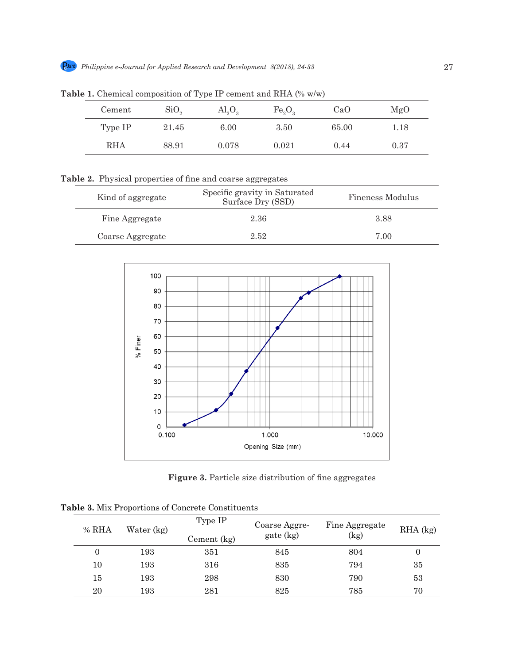| Cement     | SiO <sub>2</sub> | $\text{Al}_2\text{O}_3$ | Fe <sub>2</sub> O <sub>3</sub> | CaO   | MgO  |
|------------|------------------|-------------------------|--------------------------------|-------|------|
| Type IP    | 21.45            | 6.00                    | 3.50                           | 65.00 | 1.18 |
| <b>RHA</b> | 88.91            | 0.078                   | 0.021                          | 0.44  | 0.37 |

Table 1. Chemical composition of Type IP cement and RHA (% w/w)

**Table 2.** Physical properties of fine and coarse aggregates

| Kind of aggregate | Specific gravity in Saturated<br>Surface Dry (SSD) | Fineness Modulus |
|-------------------|----------------------------------------------------|------------------|
| Fine Aggregate    | 2.36                                               | 3.88             |
| Coarse Aggregate  | 2.52                                               | 7.00             |



**Figure 3.** Particle size distribution of fine aggregates

| <b>CADIC 0.</b> HIM I TOPOLITOIRE OF COHOLOGY COMBITIONS |            |                        |                            |                        |            |
|----------------------------------------------------------|------------|------------------------|----------------------------|------------------------|------------|
| % RHA                                                    | Water (kg) | Type IP<br>Cement (kg) | Coarse Aggre-<br>gate (kg) | Fine Aggregate<br>(kg) | $RHA$ (kg) |
| 0                                                        | 193        | 351                    | 845                        | 804                    |            |
| 10                                                       | 193        | 316                    | 835                        | 794                    | 35         |
| 15                                                       | 193        | 298                    | 830                        | 790                    | 53         |
| 20                                                       | 193        | 281                    | 825                        | 785                    | 70         |

**Table 3.** Mix Proportions of Concrete Constituents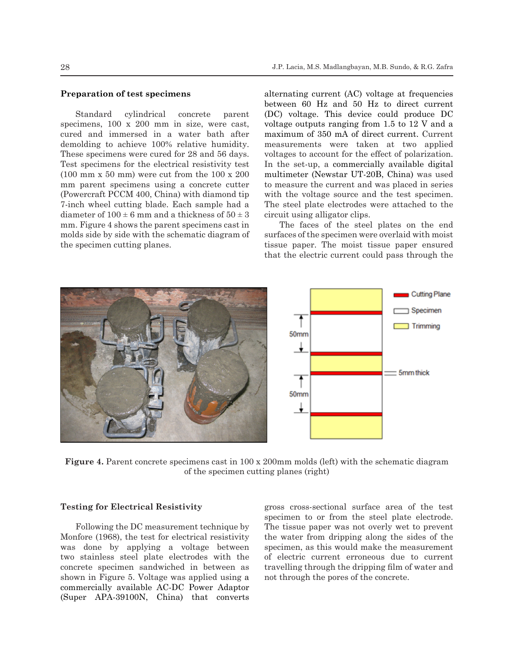#### **Preparation of test specimens**

Standard cylindrical concrete parent specimens, 100 x 200 mm in size, were cast, cured and immersed in a water bath after demolding to achieve 100% relative humidity. These specimens were cured for 28 and 56 days. Test specimens for the electrical resistivity test (100 mm x 50 mm) were cut from the 100 x 200 mm parent specimens using a concrete cutter (Powercraft PCCM 400, China) with diamond tip 7-inch wheel cutting blade. Each sample had a diameter of  $100 \pm 6$  mm and a thickness of  $50 \pm 3$ mm. Figure 4 shows the parent specimens cast in molds side by side with the schematic diagram of the specimen cutting planes.

alternating current (AC) voltage at frequencies between 60 Hz and 50 Hz to direct current (DC) voltage. This device could produce DC voltage outputs ranging from 1.5 to 12 V and a maximum of 350 mA of direct current. Current measurements were taken at two applied voltages to account for the effect of polarization. In the set-up, a commercially available digital multimeter (Newstar UT-20B, China) was used to measure the current and was placed in series with the voltage source and the test specimen. The steel plate electrodes were attached to the circuit using alligator clips.

The faces of the steel plates on the end surfaces of the specimen were overlaid with moist tissue paper. The moist tissue paper ensured that the electric current could pass through the



**Figure 4.** Parent concrete specimens cast in 100 x 200mm molds (left) with the schematic diagram of the specimen cutting planes (right)

#### **Testing for Electrical Resistivity**

Following the DC measurement technique by Monfore (1968), the test for electrical resistivity was done by applying a voltage between two stainless steel plate electrodes with the concrete specimen sandwiched in between as shown in Figure 5. Voltage was applied using a commercially available AC-DC Power Adaptor (Super APA-39100N, China) that converts gross cross-sectional surface area of the test specimen to or from the steel plate electrode. The tissue paper was not overly wet to prevent the water from dripping along the sides of the specimen, as this would make the measurement of electric current erroneous due to current travelling through the dripping film of water and not through the pores of the concrete.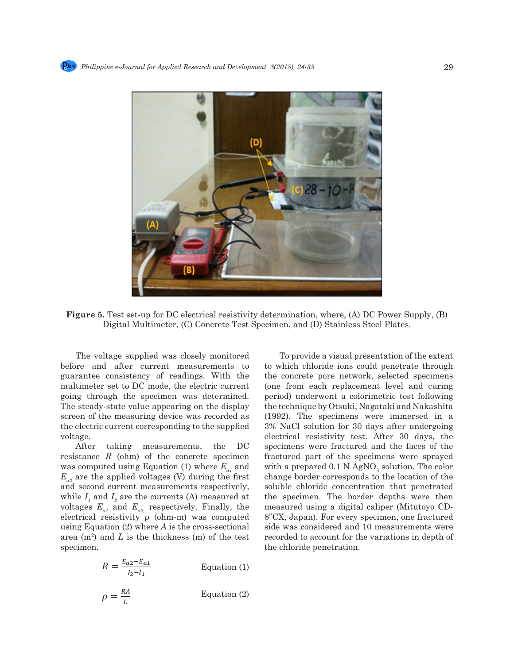

**Figure 5.** Test set-up for DC electrical resistivity determination, where, (A) DC Power Supply, (B) Digital Multimeter, (C) Concrete Test Specimen, and (D) Stainless Steel Plates.

The voltage supplied was closely monitored before and after current measurements to guarantee consistency of readings. With the the concrete pore network multimeter set to DC mode, the electric current (one from each replacer going through the specimen was determined. The steady-state value appearing on the display screen of the measuring device was recorded as the electric current corresponding to the supplied 3% NaCl solution for 30 day voltage.

After taking measurements, the DC resistance  $R$  (ohm) of the concrete specimen fractured part of the speciment corresponding to the electric current corresponding to the electric current corresponding to the electric current corresponding to the voltage was computed using Equation (1) where  $E_{a1}$  and  $E_{a2}$  are the applied voltages (V) during the first and second current measurements respectively, while  $I_1$  and  $I_2$  are the currents (A) measured at the specimen. The border voltages  $E_{a1}$  and  $E_{a2}$  respectively. Finally, the electrical resistivity ρ (ohm-m) was computed using Equation (2) where *A* is the cross-sectional side was considered and 10 *i* area  $(m^2)$  and *L* is the thickness  $(m)$  of the test specorded to account for  $(m^2)$ specimen. voltages  $E_{a1}$  and  $E_{a2}$  respectively. Finally, the measured using a digital cal electrical resistivity  $\rho$  (ohm-m) was computed  $8$ <sup>2</sup>CX, Japan). For every spec

$$
R = \frac{E_{a2} - E_{a1}}{I_2 - I_1}
$$
 Equation (1)

$$
\rho = \frac{RA}{L}
$$
 Equation (2)

To provide a visual presentation of the extent to which chloride ions could penetrate through the concrete pore network, selected specimens (one from each replacement level and curing period) underwent a colorimetric test following the technique by Otsuki, Nagataki and Nakashita (1992). The specimens were immersed in a 3% NaCl solution for 30 days after undergoing voltage. The multimeter consistency of reading the multimeter set to days, the multimeter set to DC mode, the electrical resistivity test. After 30 days, the After taking measurements, the DC specimens were fractured and the faces of the fractured part of the specimens were sprayed with a prepared 0.1 N AgNO<sub>3</sub> solution. The color change border corresponds to the location of the soluble chloride concentration that penetrated the specimen. The border depths were then measured using a digital caliper (Mitutoyo CD-8"CX, Japan). For every specimen, one fractured side was considered and 10 measurements were recorded to account for the variations in depth of the chloride penetration.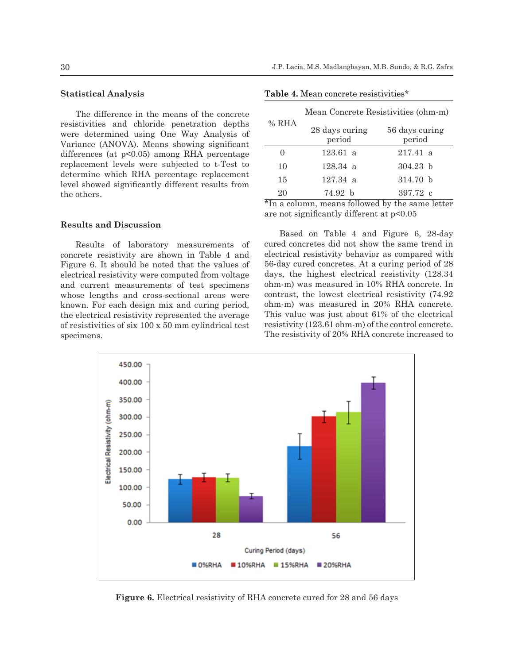**Table 4.** Mean concrete resistivities\*

#### **Statistical Analysis**

The difference in the means of the concrete resistivities and chloride penetration depths were determined using One Way Analysis of Variance (ANOVA). Means showing significant differences (at p<0.05) among RHA percentage replacement levels were subjected to t-Test to determine which RHA percentage replacement level showed significantly different results from the others.

### **Results and Discussion**

Results of laboratory measurements of concrete resistivity are shown in Table 4 and Figure 6. It should be noted that the values of electrical resistivity were computed from voltage and current measurements of test specimens whose lengths and cross-sectional areas were known. For each design mix and curing period, the electrical resistivity represented the average of resistivities of six 100 x 50 mm cylindrical test specimens.

|                                                            | Mean Concrete Resistivities (ohm-m) |                                                               |  |  |
|------------------------------------------------------------|-------------------------------------|---------------------------------------------------------------|--|--|
| $%$ RHA                                                    | 28 days curing<br>period            | 56 days curing<br>period                                      |  |  |
| 0                                                          | 123.61 a                            | $217.41 \text{ a}$                                            |  |  |
| 10                                                         | 128.34 a                            | 304.23 h                                                      |  |  |
| 15                                                         | $127.34 \text{ a}$                  | 314.70 b                                                      |  |  |
| 20<br>$\overline{\phantom{0}}$<br>$\overline{\phantom{0}}$ | 74.92 b<br>$^{\sim}$ 11             | 397.72 c<br>$\overline{1}$<br>$\overline{\phantom{a}}$<br>$-$ |  |  |

\*In a column, means followed by the same letter are not significantly different at p<0.05

Based on Table 4 and Figure 6, 28-day cured concretes did not show the same trend in electrical resistivity behavior as compared with 56-day cured concretes. At a curing period of 28 days, the highest electrical resistivity (128.34 ohm-m) was measured in 10% RHA concrete. In contrast, the lowest electrical resistivity (74.92 ohm-m) was measured in 20% RHA concrete. This value was just about 61% of the electrical resistivity (123.61 ohm-m) of the control concrete. The resistivity of 20% RHA concrete increased to



**Figure 6.** Electrical resistivity of RHA concrete cured for 28 and 56 days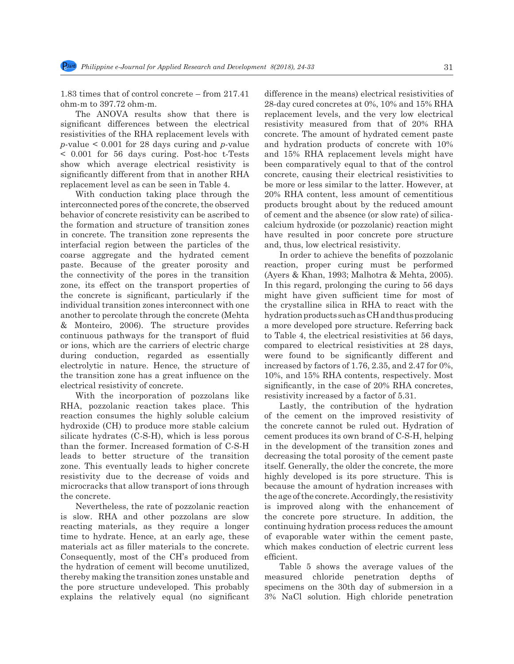1.83 times that of control concrete – from 217.41 ohm-m to 397.72 ohm-m.

The ANOVA results show that there is significant differences between the electrical resistivities of the RHA replacement levels with *p*-value < 0.001 for 28 days curing and *p*-value < 0.001 for 56 days curing. Post-hoc t-Tests show which average electrical resistivity is significantly different from that in another RHA replacement level as can be seen in Table 4.

With conduction taking place through the interconnected pores of the concrete, the observed behavior of concrete resistivity can be ascribed to the formation and structure of transition zones in concrete. The transition zone represents the interfacial region between the particles of the coarse aggregate and the hydrated cement paste. Because of the greater porosity and the connectivity of the pores in the transition zone, its effect on the transport properties of the concrete is significant, particularly if the individual transition zones interconnect with one another to percolate through the concrete (Mehta & Monteiro, 2006). The structure provides continuous pathways for the transport of fluid or ions, which are the carriers of electric charge during conduction, regarded as essentially electrolytic in nature. Hence, the structure of the transition zone has a great influence on the electrical resistivity of concrete.

With the incorporation of pozzolans like RHA, pozzolanic reaction takes place. This reaction consumes the highly soluble calcium hydroxide (CH) to produce more stable calcium silicate hydrates (C-S-H), which is less porous than the former. Increased formation of C-S-H leads to better structure of the transition zone. This eventually leads to higher concrete resistivity due to the decrease of voids and microcracks that allow transport of ions through the concrete.

Nevertheless, the rate of pozzolanic reaction is slow. RHA and other pozzolans are slow reacting materials, as they require a longer time to hydrate. Hence, at an early age, these materials act as filler materials to the concrete. Consequently, most of the CH's produced from the hydration of cement will become unutilized, thereby making the transition zones unstable and the pore structure undeveloped. This probably explains the relatively equal (no significant difference in the means) electrical resistivities of 28-day cured concretes at 0%, 10% and 15% RHA replacement levels, and the very low electrical resistivity measured from that of 20% RHA concrete. The amount of hydrated cement paste and hydration products of concrete with 10% and 15% RHA replacement levels might have been comparatively equal to that of the control concrete, causing their electrical resistivities to be more or less similar to the latter. However, at 20% RHA content, less amount of cementitious products brought about by the reduced amount of cement and the absence (or slow rate) of silicacalcium hydroxide (or pozzolanic) reaction might have resulted in poor concrete pore structure and, thus, low electrical resistivity.

In order to achieve the benefits of pozzolanic reaction, proper curing must be performed (Ayers & Khan, 1993; Malhotra & Mehta, 2005). In this regard, prolonging the curing to 56 days might have given sufficient time for most of the crystalline silica in RHA to react with the hydration products such as CH and thus producing a more developed pore structure. Referring back to Table 4, the electrical resistivities at 56 days, compared to electrical resistivities at 28 days, were found to be significantly different and increased by factors of 1.76, 2.35, and 2.47 for 0%, 10%, and 15% RHA contents, respectively. Most significantly, in the case of 20% RHA concretes, resistivity increased by a factor of 5.31.

Lastly, the contribution of the hydration of the cement on the improved resistivity of the concrete cannot be ruled out. Hydration of cement produces its own brand of C-S-H, helping in the development of the transition zones and decreasing the total porosity of the cement paste itself. Generally, the older the concrete, the more highly developed is its pore structure. This is because the amount of hydration increases with the age of the concrete. Accordingly, the resistivity is improved along with the enhancement of the concrete pore structure. In addition, the continuing hydration process reduces the amount of evaporable water within the cement paste, which makes conduction of electric current less efficient.

Table 5 shows the average values of the measured chloride penetration depths of specimens on the 30th day of submersion in a 3% NaCl solution. High chloride penetration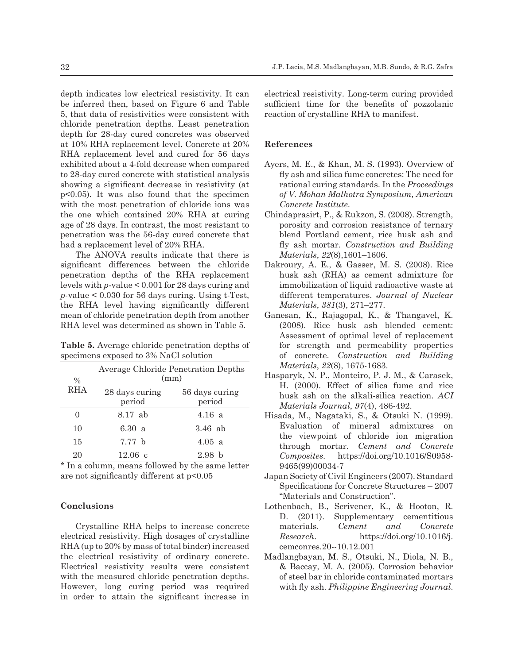depth indicates low electrical resistivity. It can be inferred then, based on Figure 6 and Table 5, that data of resistivities were consistent with chloride penetration depths. Least penetration depth for 28-day cured concretes was observed at 10% RHA replacement level. Concrete at 20% RHA replacement level and cured for 56 days exhibited about a 4-fold decrease when compared to 28-day cured concrete with statistical analysis showing a significant decrease in resistivity (at p<0.05). It was also found that the specimen with the most penetration of chloride ions was the one which contained 20% RHA at curing age of 28 days. In contrast, the most resistant to penetration was the 56-day cured concrete that had a replacement level of 20% RHA.

The ANOVA results indicate that there is significant differences between the chloride penetration depths of the RHA replacement levels with *p*-value < 0.001 for 28 days curing and *p*-value < 0.030 for 56 days curing. Using t-Test, the RHA level having significantly different mean of chloride penetration depth from another RHA level was determined as shown in Table 5.

**Table 5.** Average chloride penetration depths of specimens exposed to 3% NaCl solution

| $\frac{0}{0}$ | Average Chloride Penetration Depths<br>(mm) |                          |  |  |
|---------------|---------------------------------------------|--------------------------|--|--|
| <b>RHA</b>    | 28 days curing<br>period                    | 56 days curing<br>period |  |  |
| 0             | 8.17 ab                                     | 4.16 a                   |  |  |
| 10            | 6.30 $a$                                    | $3.46$ ab                |  |  |
| 15            | 7.77h                                       | 4.05a                    |  |  |
| 20            | 12.06c                                      | 2.98 <sub>b</sub>        |  |  |

\* In a column, means followed by the same letter are not significantly different at p<0.05

#### **Conclusions**

Crystalline RHA helps to increase concrete electrical resistivity. High dosages of crystalline RHA (up to 20% by mass of total binder) increased the electrical resistivity of ordinary concrete. Electrical resistivity results were consistent with the measured chloride penetration depths. However, long curing period was required in order to attain the significant increase in electrical resistivity. Long-term curing provided sufficient time for the benefits of pozzolanic reaction of crystalline RHA to manifest.

### **References**

- Ayers, M. E., & Khan, M. S. (1993). Overview of fly ash and silica fume concretes: The need for rational curing standards. In the *Proceedings of V. Mohan Malhotra Symposium, American Concrete Institute*.
- Chindaprasirt, P., & Rukzon, S. (2008). Strength, porosity and corrosion resistance of ternary blend Portland cement, rice husk ash and fly ash mortar. *Construction and Building Materials*, *22*(8),1601–1606.
- Dakroury, A. E., & Gasser, M. S. (2008). Rice husk ash (RHA) as cement admixture for immobilization of liquid radioactive waste at different temperatures. *Journal of Nuclear Materials*, *381*(3), 271–277.
- Ganesan, K., Rajagopal, K., & Thangavel, K. (2008). Rice husk ash blended cement: Assessment of optimal level of replacement for strength and permeability properties of concrete. *Construction and Building Materials*, *22*(8), 1675-1683.
- Hasparyk, N. P., Monteiro, P. J. M., & Carasek, H. (2000). Effect of silica fume and rice husk ash on the alkali-silica reaction. *ACI Materials Journal*, *97*(4), 486-492.
- Hisada, M., Nagataki, S., & Otsuki N. (1999). Evaluation of mineral admixtures on the viewpoint of chloride ion migration through mortar. *Cement and Concrete Composites*. https://doi.org/10.1016/S0958- 9465(99)00034-7
- Japan Society of Civil Engineers (2007). Standard Specifications for Concrete Structures – 2007 "Materials and Construction".
- Lothenbach, B., Scrivener, K., & Hooton, R. D. (2011). Supplementary cementitious materials. *Cement and Concrete Research*. https://doi.org/10.1016/j. cemconres.20--10.12.001
- Madlangbayan, M. S., Otsuki, N., Diola, N. B., & Baccay, M. A. (2005). Corrosion behavior of steel bar in chloride contaminated mortars with fly ash. *Philippine Engineering Journal*.